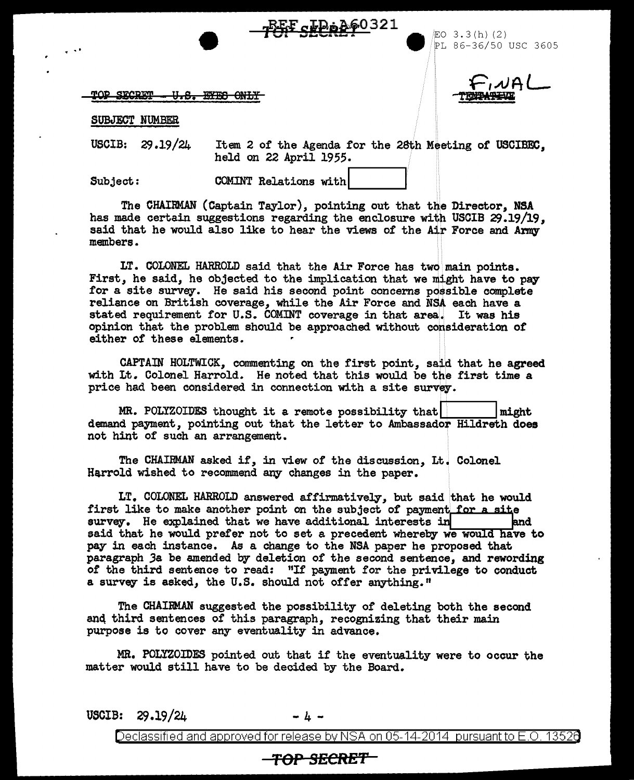V.<del>S. FYES ONLY</del>

. . . EO 3 . 3 ( h) ( 2 ) ~L 86-36/50 USC 3605

a)Al

SUBJECT NUMBER

TOP SECRET

USCIB: 29 .19/24

Item 2 of the Agenda for the 28th Meeting of USCIBEC, held on 22 April 1955.

Subject: COMINT Relations with

The CHAIRMAN (Captain Taylor), pointing out that the Director, NSA has made certain suggestions regarding the enclosure with USCIB 29.19/19, said that he would also like to hear the views of the Air Force and Army members.

LT. COLONEL HARROLD said that the Air Force has two main points. First, he said, he objected to the implication that we might have to pay for a site survey. He said his second point concerns possible complete reliance on British coverage, while the Air Force and NSA each have a stated requirement for U.S. COMINT coverage in that area. It was his opinion that the problem should be approached without consideration *ot*  either of these elements.

CAPTAIN HOLTWICK, commenting on the first point, said that he agreed with Lt. Colonel Harrold. He noted that this would be the first time a price had been considered in connection with a site survey.

MR. POLYZOIDES thought it a remote possibility that  $|\text{might}|$ demand payment, pointing out that the letter to Ambassador Hildreth does not hint of such an arrangement.

The CHAIRMAN asked if, in view of the discussion, Lt. Colonel Harrold wished to recommend any changes in the paper.

LT. COLONEL HARROLD answered affirmatively, but said that he would first like to make another point on the subject of payment for a site survey. He explained that we have additional interests in  $\qquad$ survey. He explained that we have additional interests in said that he would prefer not to set a precedent whereby we would have to pay in each instance. As a change to the NSA paper he proposed that paragraph Ja be amended by deletion of the second sentence, and rewording of the third sentence to read: "If payment for the privilege to conduct a survey is asked, the U.S. should not offer anything."

The CHAIRMAN suggested the possibility of deleting both the second anq third sentences of this paragraph, recognizing that their main purpose is to cover any eventuality in advance.

MR. POLYZOIDES pointed out that if the eventuality were to occur the matter would still have to be decided by the Board.

USCIB:  $29.19/24$  -4-

Declassified and approved for release by NSA on 05-14-2014 pursuant to E.O. 13526

## <del>-TOP SECRET</del>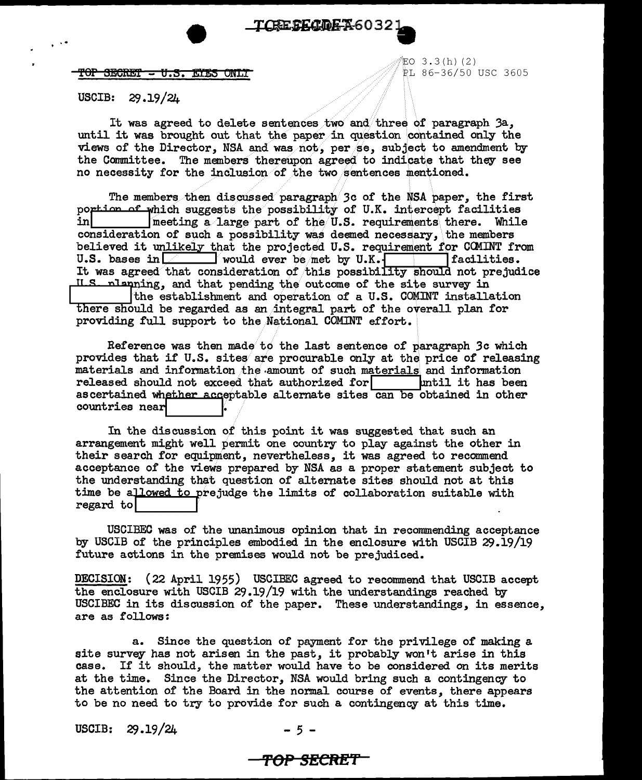$\mathbf{F}$  of  $\mathbf{B}$  are  $\mathbf{F}$  . The  $\mathbf{F}$   $\mathbf{F}$  and  $\mathbf{F}$   $\mathbf{F}$  and  $\mathbf{F}$   $\mathbf{F}$  and  $\mathbf{F}$   $\mathbf{F}$  and  $\mathbf{F}$   $\mathbf{F}$  and  $\mathbf{F}$   $\mathbf{F}$  and  $\mathbf{F}$   $\mathbf{F}$  and  $\mathbf{F}$   $\mathbf{F}$  and  $\mathbf{$ 

..  $\sqrt{2}$  EO 3.3 (h) (2)

## USCIB: 29.19/24

It was agreed to delete sentences two and/three of paragraph 3a, until it was brought out that the paper in question contained only the views of the Director, NSA and was not, per se, subject to amendment by the Committee. The members thereupon agreed to indicate that they see no necessity for the inclusion of the two sentences mentioned.

The members then discussed paragraph 3c of the NSA paper, the first portion of which suggests the possibility of U.K. intercept facilities<br>in a large part of the U.S. requirements there. While ineeting a large part of the  $U.S.$  requirements there. While consideration of such a possibility was deemed necessary, \the members believed it unlikely that the projected U.S. requirement for COMINT from U.S. bases in  $\boxed{\phantom{n}}$  would ever be met by U.K.  $\boxed{\phantom{n}}$  facilities.  $\Box$  would ever be/met by U.K.f It was agreed that consideration of this possibility should not prejudice ILS planning, and that pending the outcome of the site survey in  $\frac{1}{10}$  the establishment and operation of a U.S. COMINT installation here should be regarded as an/integral part of the overall plan for providing full support to the National COMINT effort.

Reference was then made to the last sentence of paragraph 3c which provides that if U.S. sites are procurable only at the price of releasing materials and information the amount of such materials and information released should not exceed that authorized for  $\Box$  Intil it has been ascertained whether acceptable alternate sites can be obtained in other countries near

In the discussion of this point it was suggested that such an arrangement might well permit one country to play against the other in their search for equipment, nevertheless, it was agreed to recommend acceptance of the views prepared by NSA as a proper statement subject to the understanding that question of alternate sites should not at this time be allowed to prejudge the limits of collaboration suitable with regard to

USCIBEC was of the unanimous opinion that in recommending acceptance by USCIB of the principles embodied in the enclosure with USCIB 29.19/19 future actions in the premises would not be prejudiced.

DECISION: (22 April 1955) USCIBEC agreed to reconunend that USCIB accept the enclosure with USCIB 29.19/19 with the understandings reached by USCIBEC in its discussion of the paper. These understandings, in essence, are as follows:

a. Since the question of payment for the privilege of making a site survey has not arisen in the past, it probably won't arise in this case. If it should, the matter would have to be considered on its merits at the time. Since the Director, NSA would bring such a contingency to the attention of the Board in the normal course of events, there appears to be no need to try to provide for such a contingency at this time.

USCIB: 29.19/24 - 5 -

## **'f'OP SECRET**